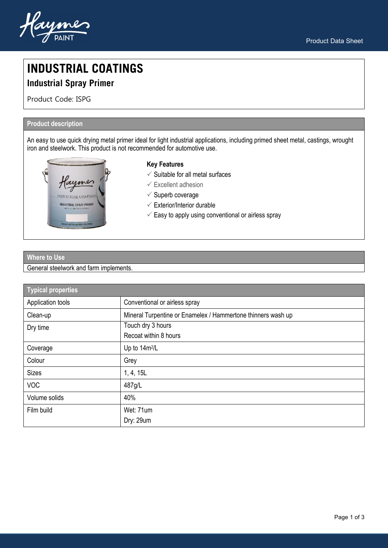



# **INDUSTRIAL COATINGS**

# **Industrial Spray Primer**

Product Code: ISPG

# **Product description**

An easy to use quick drying metal primer ideal for light industrial applications, including primed sheet metal, castings, wrought iron and steelwork. This product is not recommended for automotive use.



# **Key Features**

- $\checkmark$  Suitable for all metal surfaces
- $\checkmark$  Excellent adhesion
- $\checkmark$  Superb coverage
- $\checkmark$  Exterior/Interior durable
- $\checkmark$  Easy to apply using conventional or airless spray

# **Where to Use**

# General steelwork and farm implements.

| <b>Typical properties</b> |                                                              |
|---------------------------|--------------------------------------------------------------|
| Application tools         | Conventional or airless spray                                |
| Clean-up                  | Mineral Turpentine or Enamelex / Hammertone thinners wash up |
| Dry time                  | Touch dry 3 hours                                            |
|                           | Recoat within 8 hours                                        |
| Coverage                  | Up to 14m <sup>2</sup> /L                                    |
| Colour                    | Grey                                                         |
| <b>Sizes</b>              | 1, 4, 15L                                                    |
| <b>VOC</b>                | 487g/L                                                       |
| Volume solids             | 40%                                                          |
| Film build                | Wet: 71um                                                    |
|                           | Dry: 29um                                                    |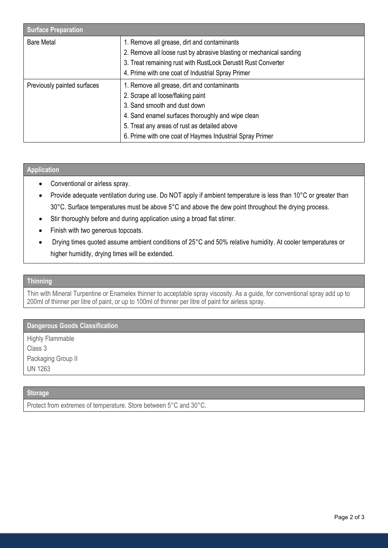| <b>Surface Preparation</b>  |                                                                                                                    |
|-----------------------------|--------------------------------------------------------------------------------------------------------------------|
| <b>Bare Metal</b>           | 1. Remove all grease, dirt and contaminants<br>2. Remove all loose rust by abrasive blasting or mechanical sanding |
|                             | 3. Treat remaining rust with RustLock Derustit Rust Converter                                                      |
|                             | 4. Prime with one coat of Industrial Spray Primer                                                                  |
| Previously painted surfaces | 1. Remove all grease, dirt and contaminants                                                                        |
|                             | 2. Scrape all loose/flaking paint                                                                                  |
|                             | 3. Sand smooth and dust down                                                                                       |
|                             | 4. Sand enamel surfaces thoroughly and wipe clean                                                                  |
|                             | 5. Treat any areas of rust as detailed above                                                                       |
|                             | 6. Prime with one coat of Haymes Industrial Spray Primer                                                           |

# **Application**

- Conventional or airless spray.
- Provide adequate ventilation during use. Do NOT apply if ambient temperature is less than 10°C or greater than 30°C. Surface temperatures must be above 5°C and above the dew point throughout the drying process.
- Stir thoroughly before and during application using a broad flat stirrer.
- Finish with two generous topcoats.
- Drying times quoted assume ambient conditions of 25°C and 50% relative humidity. At cooler temperatures or higher humidity, drying times will be extended.

#### **Thinning**

Thin with Mineral Turpentine or Enamelex thinner to acceptable spray viscosity. As a guide, for conventional spray add up to 200ml of thinner per litre of paint, or up to 100ml of thinner per litre of paint for airless spray.

# **Dangerous Goods Classification**

Highly Flammable Class 3 Packaging Group II UN 1263

# **Storage**

Protect from extremes of temperature. Store between 5°C and 30°C.